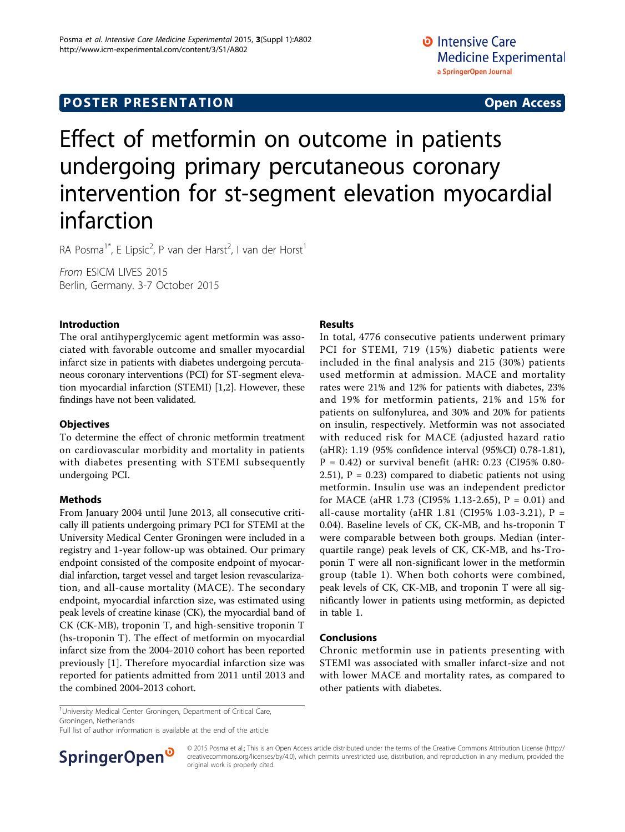# Effect of metformin on outcome in patients undergoing primary percutaneous coronary intervention for st-segment elevation myocardial infarction

RA Posma<sup>1\*</sup>, E Lipsic<sup>2</sup>, P van der Harst<sup>2</sup>, I van der Horst<sup>1</sup>

From ESICM LIVES 2015 Berlin, Germany. 3-7 October 2015

## Introduction

The oral antihyperglycemic agent metformin was associated with favorable outcome and smaller myocardial infarct size in patients with diabetes undergoing percutaneous coronary interventions (PCI) for ST-segment elevation myocardial infarction (STEMI) [[1,2\]](#page-1-0). However, these findings have not been validated.

## **Objectives**

To determine the effect of chronic metformin treatment on cardiovascular morbidity and mortality in patients with diabetes presenting with STEMI subsequently undergoing PCI.

## **Methods**

From January 2004 until June 2013, all consecutive critically ill patients undergoing primary PCI for STEMI at the University Medical Center Groningen were included in a registry and 1-year follow-up was obtained. Our primary endpoint consisted of the composite endpoint of myocardial infarction, target vessel and target lesion revascularization, and all-cause mortality (MACE). The secondary endpoint, myocardial infarction size, was estimated using peak levels of creatine kinase (CK), the myocardial band of CK (CK-MB), troponin T, and high-sensitive troponin T (hs-troponin T). The effect of metformin on myocardial infarct size from the 2004-2010 cohort has been reported previously [[1\]](#page-1-0). Therefore myocardial infarction size was reported for patients admitted from 2011 until 2013 and the combined 2004-2013 cohort.

## Results

In total, 4776 consecutive patients underwent primary PCI for STEMI, 719 (15%) diabetic patients were included in the final analysis and 215 (30%) patients used metformin at admission. MACE and mortality rates were 21% and 12% for patients with diabetes, 23% and 19% for metformin patients, 21% and 15% for patients on sulfonylurea, and 30% and 20% for patients on insulin, respectively. Metformin was not associated with reduced risk for MACE (adjusted hazard ratio (aHR): 1.19 (95% confidence interval (95%CI) 0.78-1.81),  $P = 0.42$ ) or survival benefit (aHR: 0.23 (CI95% 0.80-2.51),  $P = 0.23$  compared to diabetic patients not using metformin. Insulin use was an independent predictor for MACE (aHR 1.73 (CI95% 1.13-2.65), P = 0.01) and all-cause mortality (aHR 1.81 (CI95% 1.03-3.21),  $P =$ 0.04). Baseline levels of CK, CK-MB, and hs-troponin T were comparable between both groups. Median (interquartile range) peak levels of CK, CK-MB, and hs-Troponin T were all non-significant lower in the metformin group (table [1](#page-1-0)). When both cohorts were combined, peak levels of CK, CK-MB, and troponin T were all significantly lower in patients using metformin, as depicted in table [1.](#page-1-0)

### Conclusions

Chronic metformin use in patients presenting with STEMI was associated with smaller infarct-size and not with lower MACE and mortality rates, as compared to other patients with diabetes.

<sup>1</sup>University Medical Center Groningen, Department of Critical Care, Groningen, Netherlands

Full list of author information is available at the end of the article



© 2015 Posma et al.; This is an Open Access article distributed under the terms of the Creative Commons Attribution License [\(http://](http://creativecommons.org/licenses/by/4.0) [creativecommons.org/licenses/by/4.0](http://creativecommons.org/licenses/by/4.0)), which permits unrestricted use, distribution, and reproduction in any medium, provided the original work is properly cited.